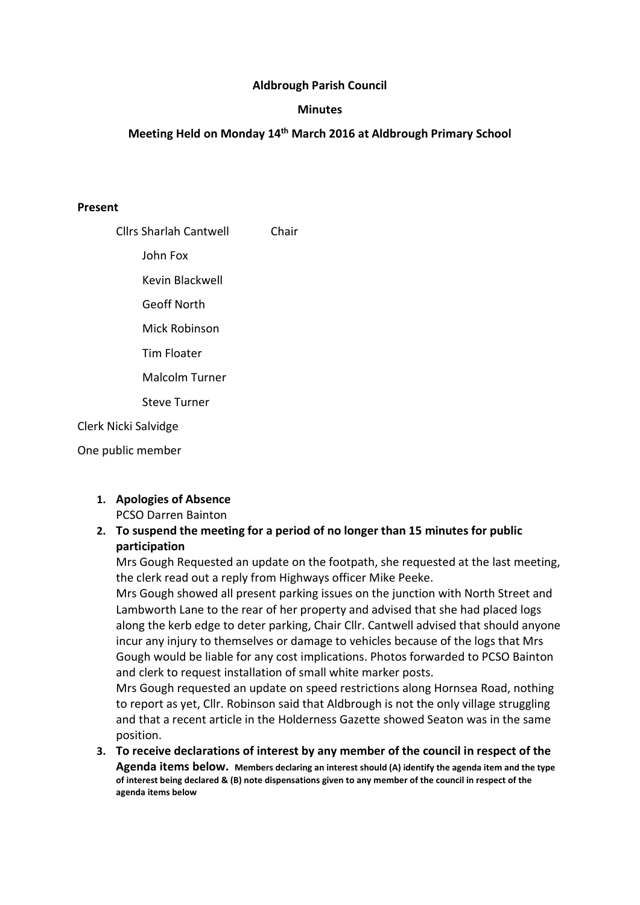### Aldbrough Parish Council

### **Minutes**

### Meeting Held on Monday 14th March 2016 at Aldbrough Primary School

#### Present

| <b>Cllrs Sharlah Cantwell</b> | Chair |
|-------------------------------|-------|
| John Fox                      |       |
| Kevin Blackwell               |       |
| Geoff North                   |       |
| Mick Robinson                 |       |
| Tim Floater                   |       |
| <b>Malcolm Turner</b>         |       |
| <b>Steve Turner</b>           |       |
| Clerk Nicki Salvidge          |       |

One public member

### 1. Apologies of Absence PCSO Darren Bainton

## 2. To suspend the meeting for a period of no longer than 15 minutes for public participation

Mrs Gough Requested an update on the footpath, she requested at the last meeting, the clerk read out a reply from Highways officer Mike Peeke.

Mrs Gough showed all present parking issues on the junction with North Street and Lambworth Lane to the rear of her property and advised that she had placed logs along the kerb edge to deter parking, Chair Cllr. Cantwell advised that should anyone incur any injury to themselves or damage to vehicles because of the logs that Mrs Gough would be liable for any cost implications. Photos forwarded to PCSO Bainton and clerk to request installation of small white marker posts.

Mrs Gough requested an update on speed restrictions along Hornsea Road, nothing to report as yet, Cllr. Robinson said that Aldbrough is not the only village struggling and that a recent article in the Holderness Gazette showed Seaton was in the same position.

3. To receive declarations of interest by any member of the council in respect of the Agenda items below. Members declaring an interest should (A) identify the agenda item and the type of interest being declared & (B) note dispensations given to any member of the council in respect of the agenda items below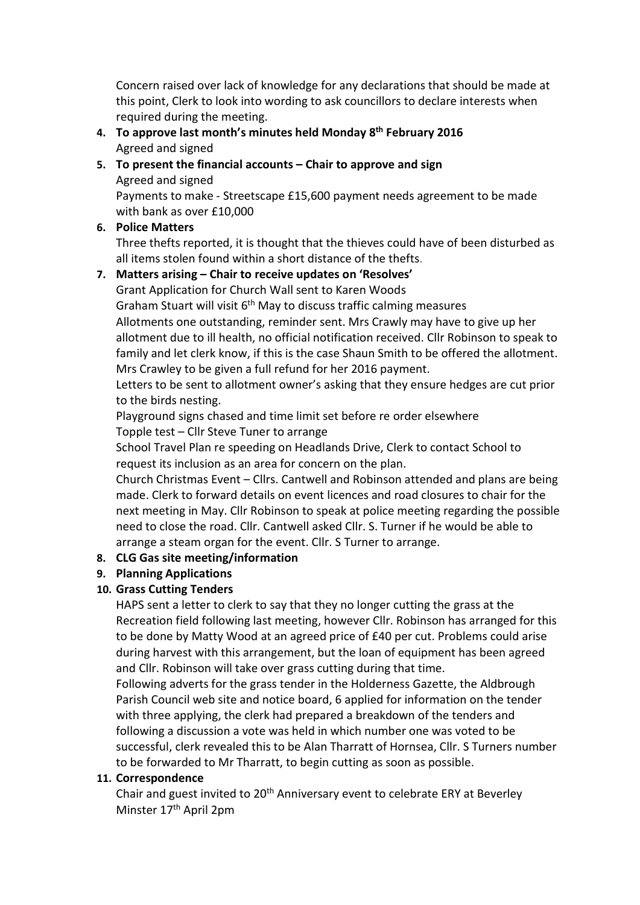Concern raised over lack of knowledge for any declarations that should be made at this point, Clerk to look into wording to ask councillors to declare interests when required during the meeting.

4. To approve last month's minutes held Monday  $8<sup>th</sup>$  February 2016 Agreed and signed

## 5. To present the financial accounts – Chair to approve and sign Agreed and signed

Payments to make - Streetscape £15,600 payment needs agreement to be made with bank as over £10,000

# 6. Police Matters

Three thefts reported, it is thought that the thieves could have of been disturbed as all items stolen found within a short distance of the thefts.

# 7. Matters arising – Chair to receive updates on 'Resolves'

Grant Application for Church Wall sent to Karen Woods

Graham Stuart will visit  $6<sup>th</sup>$  May to discuss traffic calming measures Allotments one outstanding, reminder sent. Mrs Crawly may have to give up her allotment due to ill health, no official notification received. Cllr Robinson to speak to family and let clerk know, if this is the case Shaun Smith to be offered the allotment. Mrs Crawley to be given a full refund for her 2016 payment.

Letters to be sent to allotment owner's asking that they ensure hedges are cut prior to the birds nesting.

Playground signs chased and time limit set before re order elsewhere Topple test – Cllr Steve Tuner to arrange

School Travel Plan re speeding on Headlands Drive, Clerk to contact School to request its inclusion as an area for concern on the plan.

Church Christmas Event – Cllrs. Cantwell and Robinson attended and plans are being made. Clerk to forward details on event licences and road closures to chair for the next meeting in May. Cllr Robinson to speak at police meeting regarding the possible need to close the road. Cllr. Cantwell asked Cllr. S. Turner if he would be able to arrange a steam organ for the event. Cllr. S Turner to arrange.

# 8. CLG Gas site meeting/information

# 9. Planning Applications

# 10. Grass Cutting Tenders

HAPS sent a letter to clerk to say that they no longer cutting the grass at the Recreation field following last meeting, however Cllr. Robinson has arranged for this to be done by Matty Wood at an agreed price of £40 per cut. Problems could arise during harvest with this arrangement, but the loan of equipment has been agreed and Cllr. Robinson will take over grass cutting during that time.

Following adverts for the grass tender in the Holderness Gazette, the Aldbrough Parish Council web site and notice board, 6 applied for information on the tender with three applying, the clerk had prepared a breakdown of the tenders and following a discussion a vote was held in which number one was voted to be successful, clerk revealed this to be Alan Tharratt of Hornsea, Cllr. S Turners number to be forwarded to Mr Tharratt, to begin cutting as soon as possible.

## 11. Correspondence

Chair and guest invited to 20<sup>th</sup> Anniversary event to celebrate ERY at Beverley Minster 17<sup>th</sup> April 2pm